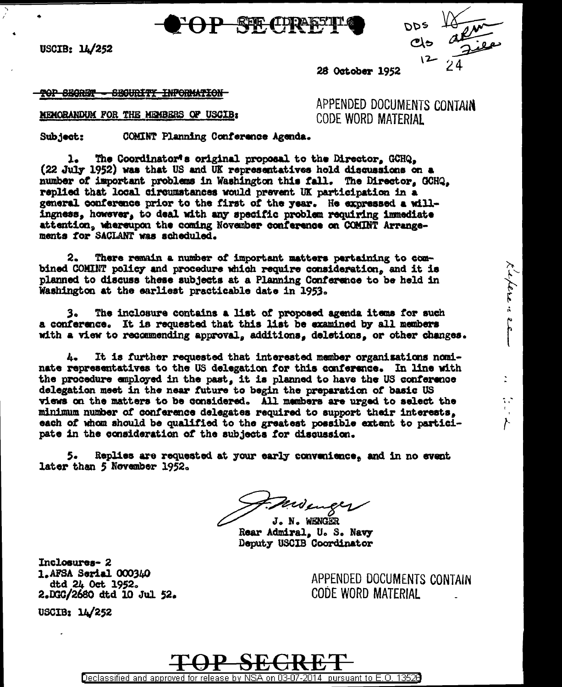**REF. (TDRA)** 

USCIB: 14/252

kaper : sa

t e

**28 October 1952** 

<del>TOP SECRET - SECURITY INFORMATION</del>

MEMORANDUM FOR THE MEMBERS OF USCIB:

APPENDED DOCUMENTS CONTAIN CODE WORD MATERIAI

COMINT Planning Conference Agenda. Subject:

The Coordinator's original proposal to the Director. GCHQ.  $\mathbf{L}$ (22 July 1952) was that US and UK representatives hold disquasions on a number of important problems in Washington this fall. The Director, GCHQ. replied that local circumstances would prevent UK participation in a general conference prior to the first of the year. He expressed a willingness, however, to deal with any specific problem requiring immediate attention, whereupon the coming November conference on COMINT Arrangements for SACLANT was scheduled.

There remain a number of important matters pertaining to com-2. bined COMINT policy and procedure which require consideration, and it is planned to discuss these subjects at a Planning Conference to be held in Washington at the earliest practicable date in 1953.

The inclosure contains a list of proposed agenda items for such 3. a conference. It is requested that this list be examined by all members with a view to recommending approval, additions, deletions, or other changes.

It is further requested that interested member organizations nomi- $\mathbf{L}_{\bullet}$ nate representatives to the US delegation for this conference. In line with the procedure employed in the past, it is planned to have the US conference delegation meet in the near future to begin the preparation of basic US views on the matters to be considered. All members are urged to select the minimum number of conference delegates required to support their interests. each of whom should be qualified to the greatest possible extent to participate in the consideration of the subjects for discussion.

Replies are requested at your early convenience, and in no event 5. later than 5 November 1952.

monger

J. N. WENGER Rear Admiral, U. S. Navy Deputy USCIB Coordinator

Inclosures-2 1.AFSA Serial 000340 dtd 24 Oct 1952. 2.DGC/2680 dtd 10 Jul 52.

APPENDED DOCUMENTS CONTAIN CODE WORD MATERIAL



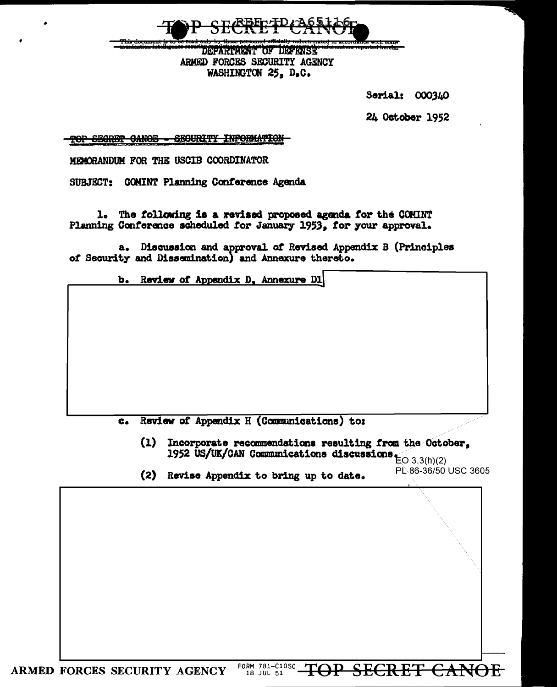vith come  $\overline{1}$ DEEARTER TOF DEEFASE ARMED FORCES SECURITY AGENCY WASHINGTON 25, D.C.

Serial: 000340

24 October 1952

TOP SEGRET CANOE - SEGURITY INFORMATION

MEMORANDUM FOR THE USCIB COORDINATOR

SUBJECT: COMINT Planning Conference Agenda

1. The following is a revised proposed agenda for the COMINT Planning Conference scheduled for January 1953, for your approval.

a. Discussion and approval of Revised Appendix B (Principles of Security and Dissemination) and Annexure thereto.

> b. Review of Appendix D. Annexure D1

Review of Appendix H (Communications) to:  $c_{\bullet}$ 

 $(1)$ Incorporate recommendations resulting from the October, 1952 US/UK/CAN Communications discussions  $_{\text{EO }3.3(\text{h})(2)}$ 

PL 86-36/50 USC 3605

(2) Revise Appendix to bring up to date.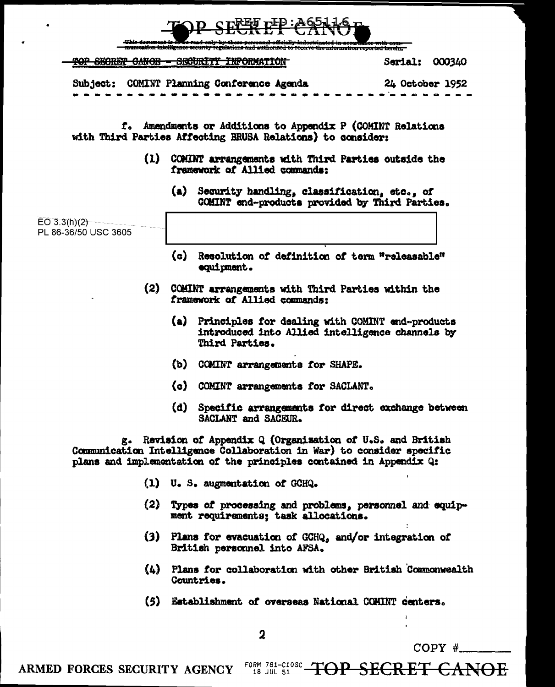|                                                                                                                          |                                                                                         | This document is to sea read only by these personnel officially indectrinated in accordance with com-<br>munication intelligence security regulations and authorned to rocerve the information reported herein. |                   |  |
|--------------------------------------------------------------------------------------------------------------------------|-----------------------------------------------------------------------------------------|-----------------------------------------------------------------------------------------------------------------------------------------------------------------------------------------------------------------|-------------------|--|
|                                                                                                                          |                                                                                         | TOP SECRET CANOE - SECURITY INFORMATION                                                                                                                                                                         | Serial:<br>000340 |  |
|                                                                                                                          |                                                                                         | Subject: COMINT Planning Conference Agenda                                                                                                                                                                      | 24 October 1952   |  |
|                                                                                                                          |                                                                                         |                                                                                                                                                                                                                 |                   |  |
| f. Amendments or Additions to Appendix P (COMINT Relations<br>with Third Parties Affecting BRUSA Relations) to consider: |                                                                                         |                                                                                                                                                                                                                 |                   |  |
|                                                                                                                          | (1) COMINT arrangements with Third Parties outside the<br>framework of Allied commands: |                                                                                                                                                                                                                 |                   |  |
|                                                                                                                          |                                                                                         | (a) Security handling, classification, etc., of<br>COMINT end-products provided by Third Parties.                                                                                                               |                   |  |
| EO 3.3(h)(2)<br>PL 86-36/50 USC 3605                                                                                     |                                                                                         |                                                                                                                                                                                                                 |                   |  |
|                                                                                                                          | (c)                                                                                     | Resolution of definition of term "releasable"<br>equipment.                                                                                                                                                     |                   |  |
|                                                                                                                          | (2) COMINT arrangements with Third Parties within the<br>framework of Allied commands:  |                                                                                                                                                                                                                 |                   |  |
|                                                                                                                          |                                                                                         | (a) Principles for dealing with COMINT end-products<br>introduced into Allied intelligence channels by<br>Third Parties.                                                                                        |                   |  |
|                                                                                                                          |                                                                                         | (b) COMINT arrangements for SHAPE.                                                                                                                                                                              |                   |  |
|                                                                                                                          |                                                                                         | (c) COMINT arrangements for SACLANT.                                                                                                                                                                            |                   |  |
|                                                                                                                          | (d)                                                                                     | Specific arrangements for direct exchange between<br>SACLANT and SACEUR.                                                                                                                                        |                   |  |
|                                                                                                                          |                                                                                         | g. Revision of Appendix Q (Organization of U.S. and British<br>Communication Intelligence Collaboration in War) to consider specific<br>plans and implementation of the principles contained in Appendix Q:     |                   |  |
|                                                                                                                          |                                                                                         | (1) U.S. augmentation of GCHQ.                                                                                                                                                                                  |                   |  |
|                                                                                                                          |                                                                                         | (2) Types of processing and problems, personnel and equip-<br>ment requirements; task allocations.                                                                                                              |                   |  |
|                                                                                                                          |                                                                                         | (3) Plans for evacuation of GCHQ, and/or integration of<br>British personnel into AFSA.                                                                                                                         |                   |  |
| (4)                                                                                                                      |                                                                                         | Plans for collaboration with other British Commonwealth<br>Countries.                                                                                                                                           |                   |  |
| (5)                                                                                                                      |                                                                                         | Establishment of overseas National COMINT centers.                                                                                                                                                              |                   |  |

 $\overline{\mathbf{2}}$ 

COPY  $#$ 

ARMED FORCES SECURITY AGENCY **FORM 781-C10SC** TOP SECRET CANOE

 $\mathbf{r}$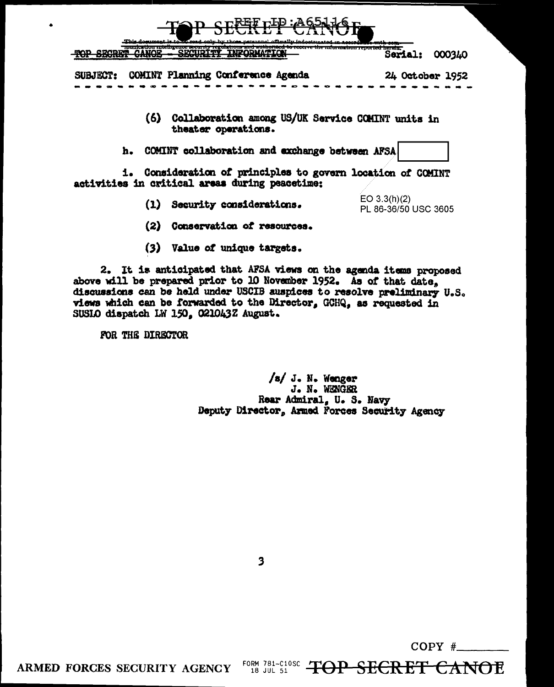| TOP SECREP CANOR<br>This document is to ze seed only by those personnal officially indoctrunted in economic                                               |                          |
|-----------------------------------------------------------------------------------------------------------------------------------------------------------|--------------------------|
| munication much genoe security regulations and authorized to receive the information reported herein.<br>ermorm al<br>,,,,,,,,,,,,,,,,,,,<br>$-$<br>----- | 000340<br><b>Serial:</b> |
| COMINT Planning Conference Agenda<br><b>SUBJECT:</b>                                                                                                      | 24 October 1952          |
| Collaboration among US/UK Service COMINT units in<br>(6)<br>theater operations.                                                                           |                          |
| COMINT collaboration and exchange between AFSA<br>h.                                                                                                      |                          |

i. Consideration of principles to govern location of COMINT activities in critical areas during peacetime:

(1) Security considerations.

 $EO$  3.3(h)(2) PL 86-36/50 USC 3605

- (2) Conservation of resources.
- (3) Value of unique targets.

2. It is anticipated that AFSA views on the agenda items proposed above will be prepared prior to 10 November 1952. As of that date. discussions can be held under USCIB auspices to resolve preliminary U.S. views which can be forwarded to the Director, GCHQ, as requested in SUSIO dispatch LW 150, 021043Z August.

FOR THE DIRECTOR

ARMED FORCES SECURITY AGENCY

/s/ J. N. Wenger J. N. WENGER Rear Admiral, U. S. Navy Deputy Director, Armed Forces Security Agency

FORM 781-C10SC TOP SECRET CANOE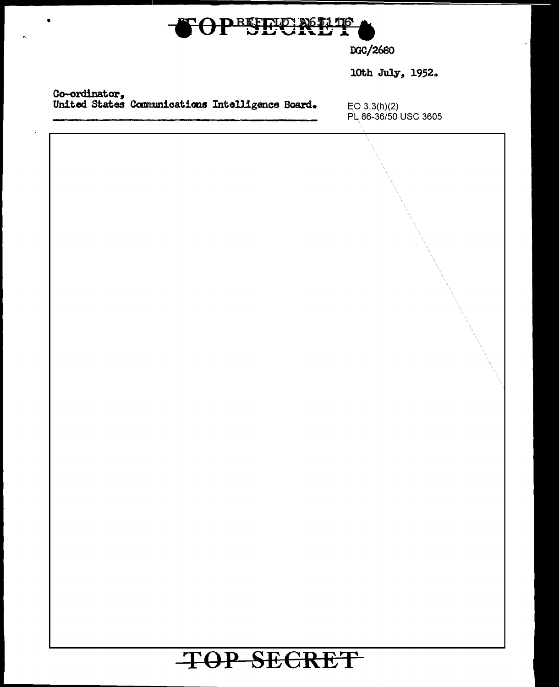| OPEEEU NELLE                                                      |                                         |  |  |  |
|-------------------------------------------------------------------|-----------------------------------------|--|--|--|
|                                                                   | DGC/2680                                |  |  |  |
|                                                                   | 10th July, 1952.                        |  |  |  |
| Co-ordinator,<br>United States Communications Intelligence Board. | $EO\ 3.3(h)(2)$<br>PL 86-36/50 USC 3605 |  |  |  |
|                                                                   |                                         |  |  |  |
| TOP SECRET                                                        |                                         |  |  |  |

 $\ddot{\phantom{1}}$ 

Ļ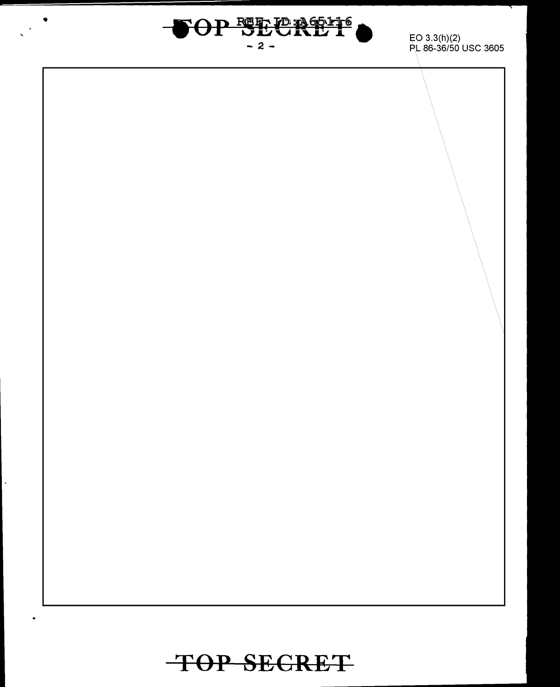

 $\ddot{\phantom{0}}$